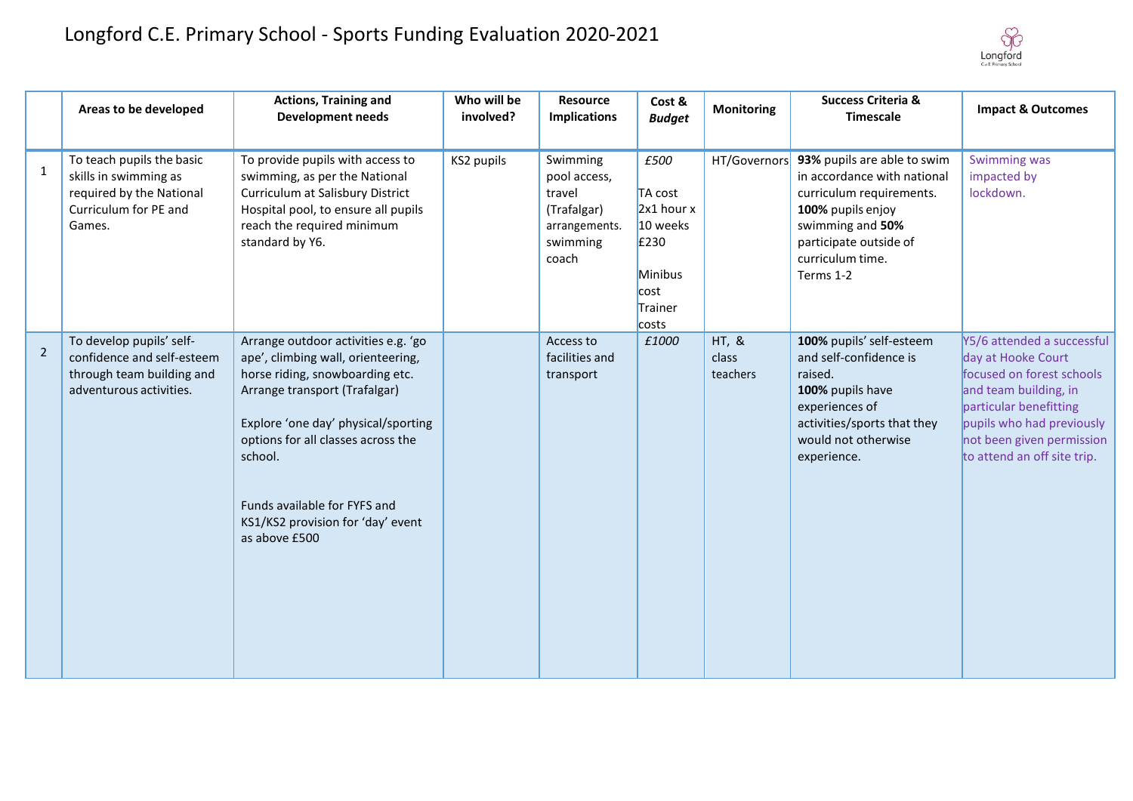

|                | Areas to be developed                                                                                             | <b>Actions, Training and</b><br><b>Development needs</b>                                                                                                                                                                                                                                                                    | Who will be<br>involved? | Resource<br><b>Implications</b>                                                         | Cost &<br><b>Budget</b>                                                                      | <b>Monitoring</b>          | <b>Success Criteria &amp;</b><br><b>Timescale</b>                                                                                                                                          | <b>Impact &amp; Outcomes</b>                                                                                                                                                                                              |
|----------------|-------------------------------------------------------------------------------------------------------------------|-----------------------------------------------------------------------------------------------------------------------------------------------------------------------------------------------------------------------------------------------------------------------------------------------------------------------------|--------------------------|-----------------------------------------------------------------------------------------|----------------------------------------------------------------------------------------------|----------------------------|--------------------------------------------------------------------------------------------------------------------------------------------------------------------------------------------|---------------------------------------------------------------------------------------------------------------------------------------------------------------------------------------------------------------------------|
| 1              | To teach pupils the basic<br>skills in swimming as<br>required by the National<br>Curriculum for PE and<br>Games. | To provide pupils with access to<br>swimming, as per the National<br>Curriculum at Salisbury District<br>Hospital pool, to ensure all pupils<br>reach the required minimum<br>standard by Y6.                                                                                                                               | KS2 pupils               | Swimming<br>pool access,<br>travel<br>(Trafalgar)<br>arrangements.<br>swimming<br>coach | £500<br>TA cost<br>$2x1$ hour $x$<br>10 weeks<br>£230<br>Minibus<br>cost<br>Trainer<br>costs | HT/Governors               | 93% pupils are able to swim<br>in accordance with national<br>curriculum requirements.<br>100% pupils enjoy<br>swimming and 50%<br>participate outside of<br>curriculum time.<br>Terms 1-2 | Swimming was<br>impacted by<br>lockdown.                                                                                                                                                                                  |
| $\overline{2}$ | To develop pupils' self-<br>confidence and self-esteem<br>through team building and<br>adventurous activities.    | Arrange outdoor activities e.g. 'go<br>ape', climbing wall, orienteering,<br>horse riding, snowboarding etc.<br>Arrange transport (Trafalgar)<br>Explore 'one day' physical/sporting<br>options for all classes across the<br>school.<br>Funds available for FYFS and<br>KS1/KS2 provision for 'day' event<br>as above £500 |                          | Access to<br>facilities and<br>transport                                                | £1000                                                                                        | HT, &<br>class<br>teachers | 100% pupils' self-esteem<br>and self-confidence is<br>raised.<br>100% pupils have<br>experiences of<br>activities/sports that they<br>would not otherwise<br>experience.                   | Y5/6 attended a successful<br>day at Hooke Court<br>focused on forest schools<br>and team building, in<br>particular benefitting<br>pupils who had previously<br>not been given permission<br>to attend an off site trip. |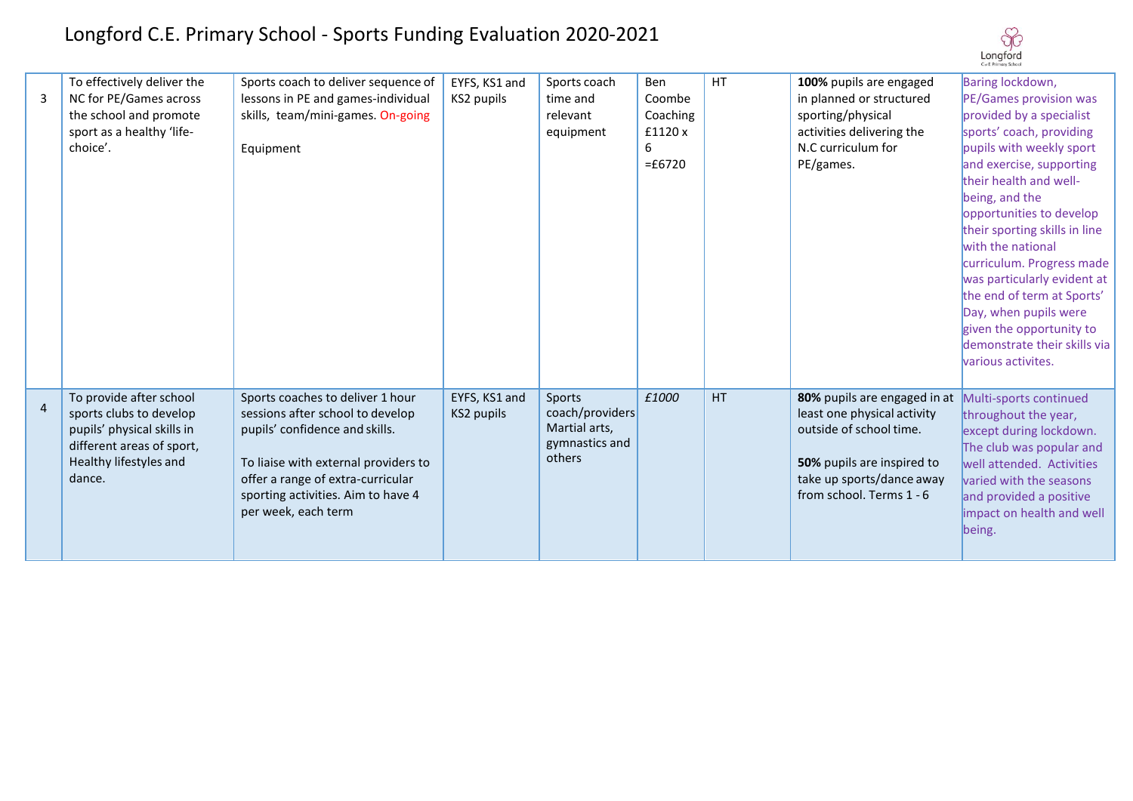| 3              | To effectively deliver the<br>NC for PE/Games across<br>the school and promote<br>sport as a healthy 'life-<br>choice'.                           | Sports coach to deliver sequence of<br>lessons in PE and games-individual<br>skills, team/mini-games. On-going<br>Equipment                                                                                                                      | EYFS, KS1 and<br>KS2 pupils | Sports coach<br>time and<br>relevant<br>equipment                      | Ben<br>Coombe<br>Coaching<br>£1120 x<br>6<br>$=£6720$ | <b>HT</b> | 100% pupils are engaged<br>in planned or structured<br>sporting/physical<br>activities delivering the<br>N.C curriculum for<br>PE/games.                                      | Baring lockdown,<br>PE/Games provision was<br>provided by a specialist<br>sports' coach, providing<br>pupils with weekly sport<br>and exercise, supporting<br>their health and well-<br>being, and the<br>opportunities to develop<br>their sporting skills in line<br>with the national<br>curriculum. Progress made<br>was particularly evident at<br>the end of term at Sports'<br>Day, when pupils were<br>given the opportunity to<br>demonstrate their skills via<br>various activites. |
|----------------|---------------------------------------------------------------------------------------------------------------------------------------------------|--------------------------------------------------------------------------------------------------------------------------------------------------------------------------------------------------------------------------------------------------|-----------------------------|------------------------------------------------------------------------|-------------------------------------------------------|-----------|-------------------------------------------------------------------------------------------------------------------------------------------------------------------------------|-----------------------------------------------------------------------------------------------------------------------------------------------------------------------------------------------------------------------------------------------------------------------------------------------------------------------------------------------------------------------------------------------------------------------------------------------------------------------------------------------|
| $\overline{4}$ | To provide after school<br>sports clubs to develop<br>pupils' physical skills in<br>different areas of sport,<br>Healthy lifestyles and<br>dance. | Sports coaches to deliver 1 hour<br>sessions after school to develop<br>pupils' confidence and skills.<br>To liaise with external providers to<br>offer a range of extra-curricular<br>sporting activities. Aim to have 4<br>per week, each term | EYFS, KS1 and<br>KS2 pupils | Sports<br>coach/providers<br>Martial arts,<br>gymnastics and<br>others | £1000                                                 | HT        | 80% pupils are engaged in at<br>least one physical activity<br>outside of school time.<br>50% pupils are inspired to<br>take up sports/dance away<br>from school. Terms 1 - 6 | Multi-sports continued<br>throughout the year,<br>except during lockdown.<br>The club was popular and<br>well attended. Activities<br>varied with the seasons<br>and provided a positive<br>impact on health and well<br>being.                                                                                                                                                                                                                                                               |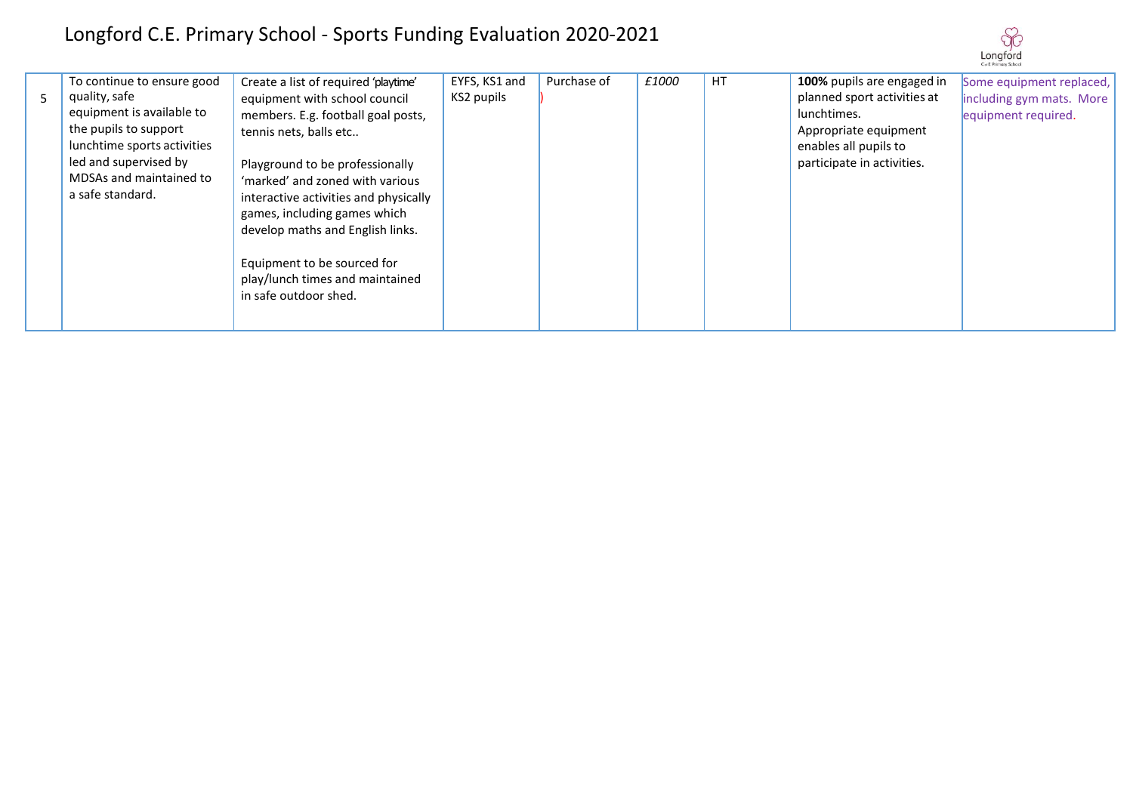|   | To continue to ensure good  | Create a list of required 'playtime'  | EYFS, KS1 and | Purchase of | £1000 | HT. | 100% pupils are engaged in  | Some equipment replaced, |
|---|-----------------------------|---------------------------------------|---------------|-------------|-------|-----|-----------------------------|--------------------------|
| 5 | quality, safe               | equipment with school council         | KS2 pupils    |             |       |     | planned sport activities at | including gym mats. More |
|   | equipment is available to   | members. E.g. football goal posts,    |               |             |       |     | lunchtimes.                 | equipment required.      |
|   | the pupils to support       | tennis nets, balls etc                |               |             |       |     | Appropriate equipment       |                          |
|   | lunchtime sports activities |                                       |               |             |       |     | enables all pupils to       |                          |
|   | led and supervised by       | Playground to be professionally       |               |             |       |     | participate in activities.  |                          |
|   | MDSAs and maintained to     | 'marked' and zoned with various       |               |             |       |     |                             |                          |
|   | a safe standard.            | interactive activities and physically |               |             |       |     |                             |                          |
|   |                             | games, including games which          |               |             |       |     |                             |                          |
|   |                             | develop maths and English links.      |               |             |       |     |                             |                          |
|   |                             |                                       |               |             |       |     |                             |                          |
|   |                             |                                       |               |             |       |     |                             |                          |
|   |                             | Equipment to be sourced for           |               |             |       |     |                             |                          |
|   |                             | play/lunch times and maintained       |               |             |       |     |                             |                          |
|   |                             | in safe outdoor shed.                 |               |             |       |     |                             |                          |
|   |                             |                                       |               |             |       |     |                             |                          |
|   |                             |                                       |               |             |       |     |                             |                          |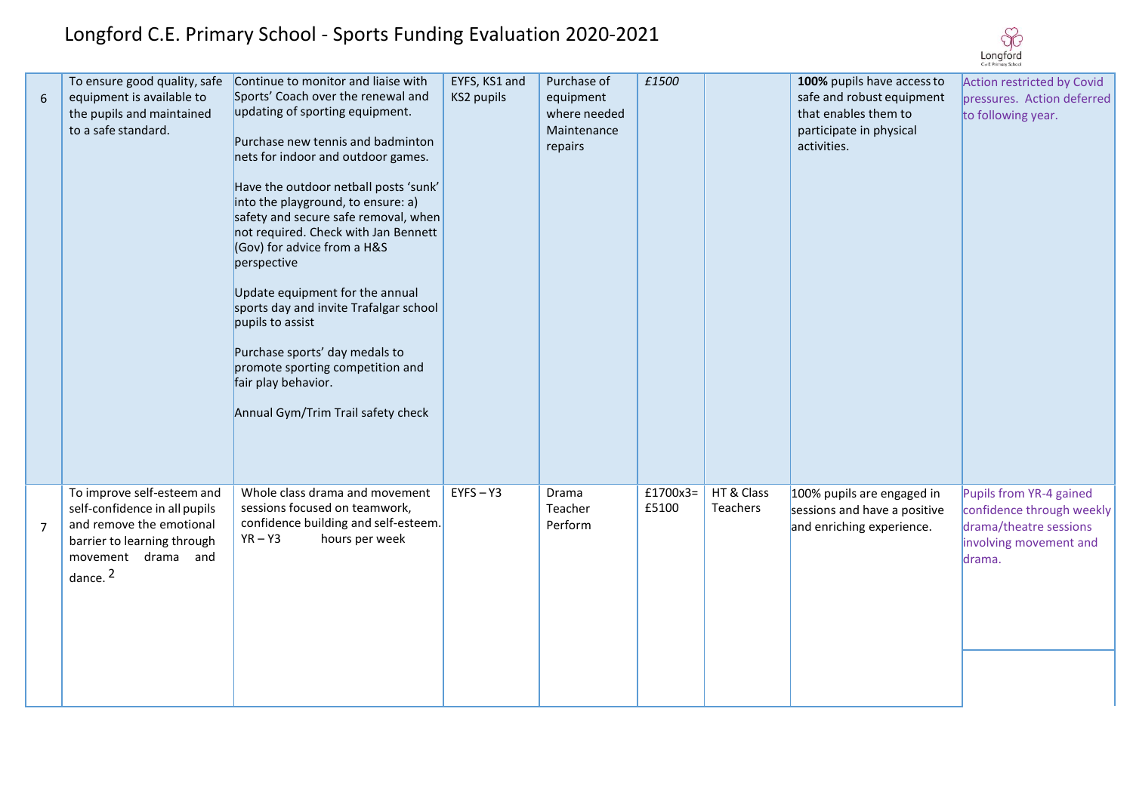